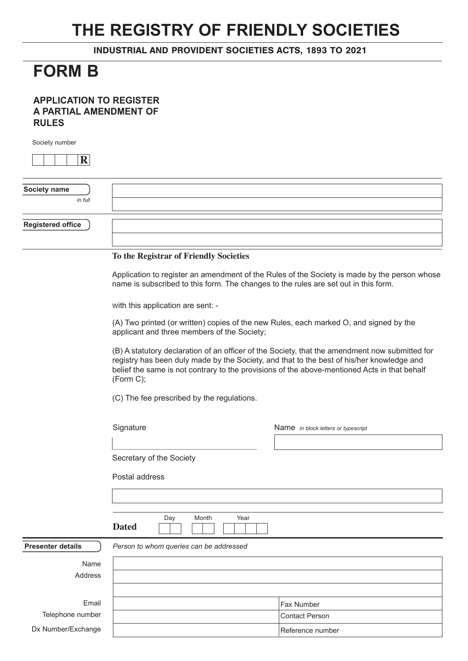## **THE REGISTRY OF FRIENDLY SOCIETIES**

INDUSTRIAL AND PROVIDENT SOCIETIES ACTS, 1893 TO 2021

## **FORM B**

## **APPLICATION TO REGISTER A PARTIAL AMENDMENT OF RULES**

Society number

| R                        |                                                                                                                                                                                     |
|--------------------------|-------------------------------------------------------------------------------------------------------------------------------------------------------------------------------------|
| Society name<br>in full  |                                                                                                                                                                                     |
| <b>Registered office</b> |                                                                                                                                                                                     |
|                          | To the Registrar of Friendly Societies                                                                                                                                              |
|                          | Application to register an amendment of the Rules of the Society is made by the person whose<br>name is subscribed to this form. The changes to the rules are set out in this form. |

with this application are sent: -

(A) Two printed (or written) copies of the new Rules, each marked O, and signed by the applicant and three members of the Society;

(B) A statutory declaration of an officer of the Society, that the amendment now submitted for registry has been duly made by the Society, and that to the best of his/her knowledge and belief the same is not contrary to the provisions of the above-mentioned Acts in that behalf (Form C);

(C) The fee prescribed by the regulations.

Signature Name *in block letters or typescript*

| Secretary of the Society |  |  |  |  |
|--------------------------|--|--|--|--|
|--------------------------|--|--|--|--|

Postal address

**Dated**

Day Month Year

| <b>Presenter details</b> | Person to whom queries can be addressed |                   |
|--------------------------|-----------------------------------------|-------------------|
| Name                     |                                         |                   |
| Address                  |                                         |                   |
|                          |                                         |                   |
| Email                    |                                         | <b>Fax Number</b> |
| Telephone number         |                                         | Contact Person    |
| Dx Number/Exchange       |                                         | Reference number  |